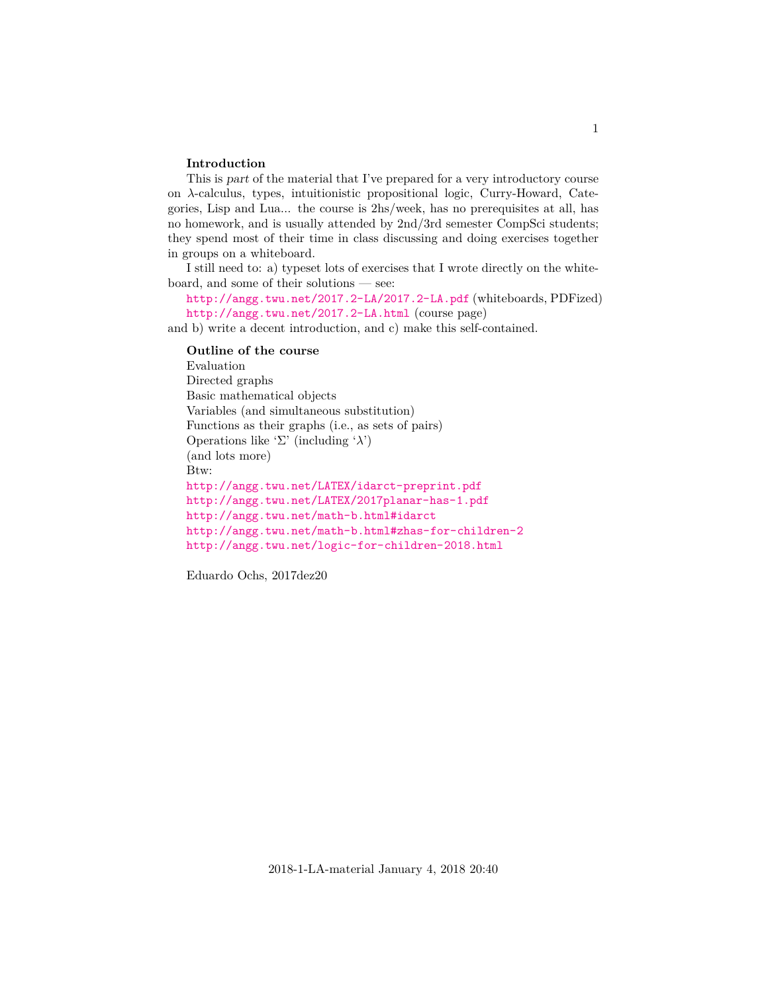#### **Introduction**

This is part of the material that I've prepared for a very introductory course on λ-calculus, types, intuitionistic propositional logic, Curry-Howard, Categories, Lisp and Lua... the course is 2hs/week, has no prerequisites at all, has no homework, and is usually attended by 2nd/3rd semester CompSci students; they spend most of their time in class discussing and doing exercises together in groups on a whiteboard.

I still need to: a) typeset lots of exercises that I wrote directly on the whiteboard, and some of their solutions — see:

<http://angg.twu.net/2017.2-LA/2017.2-LA.pdf> (whiteboards, PDFized) <http://angg.twu.net/2017.2-LA.html> (course page)

and b) write a decent introduction, and c) make this self-contained.

**Outline of the course** Evaluation Directed graphs Basic mathematical objects Variables (and simultaneous substitution) Functions as their graphs (i.e., as sets of pairs) Operations like 'Σ' (including 'λ') (and lots more) Btw: <http://angg.twu.net/LATEX/idarct-preprint.pdf> <http://angg.twu.net/LATEX/2017planar-has-1.pdf> <http://angg.twu.net/math-b.html#idarct> <http://angg.twu.net/math-b.html#zhas-for-children-2> <http://angg.twu.net/logic-for-children-2018.html>

Eduardo Ochs, 2017dez20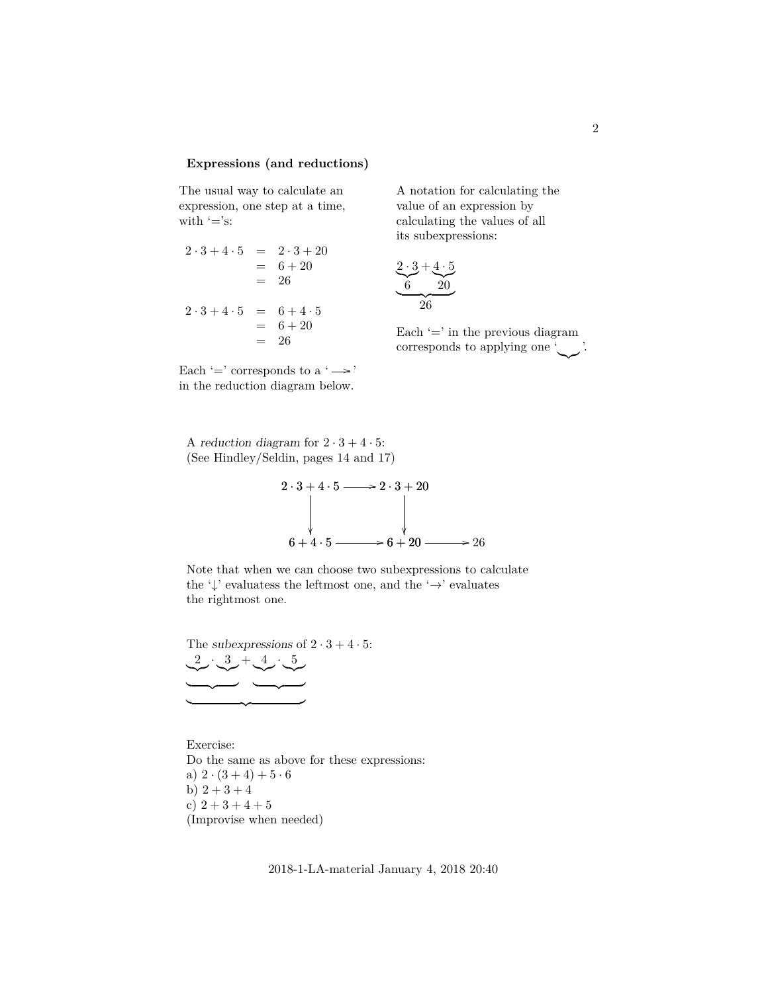#### **Expressions (and reductions)**

The usual way to calculate an expression, one step at a time, with  $'=$ 's:

 $2 \cdot 3 + 4 \cdot 5 = 2 \cdot 3 + 20$  $= 6 + 20$  $= 26$  $2 \cdot 3 + 4 \cdot 5 = 6 + 4 \cdot 5$  $= 6 + 20$ 

A notation for calculating the value of an expression by calculating the values of all its subexpressions:

$$
\underbrace{2 \cdot 3}_{6} + \underbrace{4 \cdot 5}_{20}
$$

Each  $\prime$  = in the previous diagram corresponds to applying one ' '.

Each '=' corresponds to a ' $\rightarrow$ ' in the reduction diagram below.

 $= 26$ 

A reduction diagram for  $2 \cdot 3 + 4 \cdot 5$ : (See Hindley/Seldin, pages 14 and 17)



Note that when we can choose two subexpressions to calculate the ' $\downarrow$ ' evaluatess the leftmost one, and the ' $\rightarrow$ ' evaluates the rightmost one.

The subexpressions of  $2 \cdot 3 + 4 \cdot 5$ : 2  $\sim$  $\cdot$  3  $\sim$  $\overline{\phantom{a}}$  $+$ , 4  $\sim$  $\cdot$  5  $\sim$  $\overline{\phantom{a}}$ 

 $\overline{\phantom{a}}$ 

Exercise: Do the same as above for these expressions: a)  $2 \cdot (3 + 4) + 5 \cdot 6$ b)  $2 + 3 + 4$ c)  $2 + 3 + 4 + 5$ (Improvise when needed)

2018-1-LA-material January 4, 2018 20:40

 $\sim$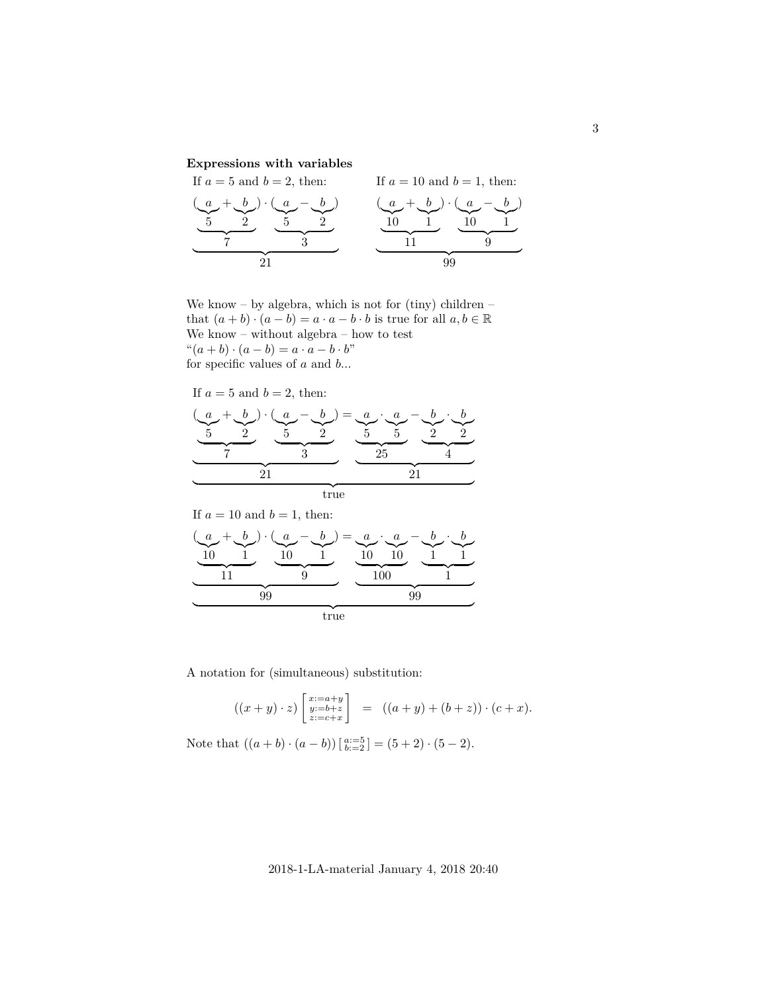## **Expressions with variables**

If  $a = 5$  and  $b = 2$ , then:  $\left( a\right)$  $\sum_{5}$ 5  $+$  b  $\int_{0}^{\infty}$ 2  $\overline{y}$ )  $\cdot$  ( a  $\widetilde{5}$  $-$  b  $\sum_{2}$  $\frac{ }{3}$ )  $\frac{1}{21}$ 21 If  $a = 10$  and  $b = 1$ , then: ( a  $\overline{10}$  $+$  b  $\bigg|$ 1  $\overline{11}$ )  $\cdot$  ( a  $\overline{10}$  $-$  b  $\bigg|$ 1  $\overline{9}$ )  $\overline{a}$   $\overline{a}$ 99

We know – by algebra, which is not for (tiny) children – that  $(a + b) \cdot (a - b) = a \cdot a - b \cdot b$  is true for all  $a, b \in \mathbb{R}$ We know – without algebra – how to test " $(a + b) \cdot (a - b) = a \cdot a - b \cdot b$ " for specific values of  $a$  and  $b\ldots$ 

If  $a = 5$  and  $b = 2$ , then:

| $\boldsymbol{a}$ | ) $\cdot$ ( $a$ $-$ | $(b) = a \cdot a$ |  |  |  |
|------------------|---------------------|-------------------|--|--|--|
|                  |                     |                   |  |  |  |
|                  |                     |                   |  |  |  |
|                  |                     |                   |  |  |  |
|                  | true                |                   |  |  |  |

If  $a = 10$  and  $b = 1$ , then:

$$
\underbrace{(a + b) \cdot (a - b)}_{10} \cdot \underbrace{(a - b)}_{11} = \underbrace{a \cdot a}_{10} \cdot \underbrace{b \cdot b}_{10}
$$
  
10 10 1 1  
11 0 1  
10 1 1  
10 1  
10 1  
11 1

A notation for (simultaneous) substitution:

$$
((x+y)\cdot z)\begin{bmatrix} x:=a+y\\ y:=b+z\\ z:=c+x \end{bmatrix} = ((a+y)+(b+z))\cdot (c+x).
$$

Note that  $((a + b) \cdot (a - b)) \left[\begin{matrix} a := 5 \\ b := 2 \end{matrix}\right] = (5 + 2) \cdot (5 - 2)$ .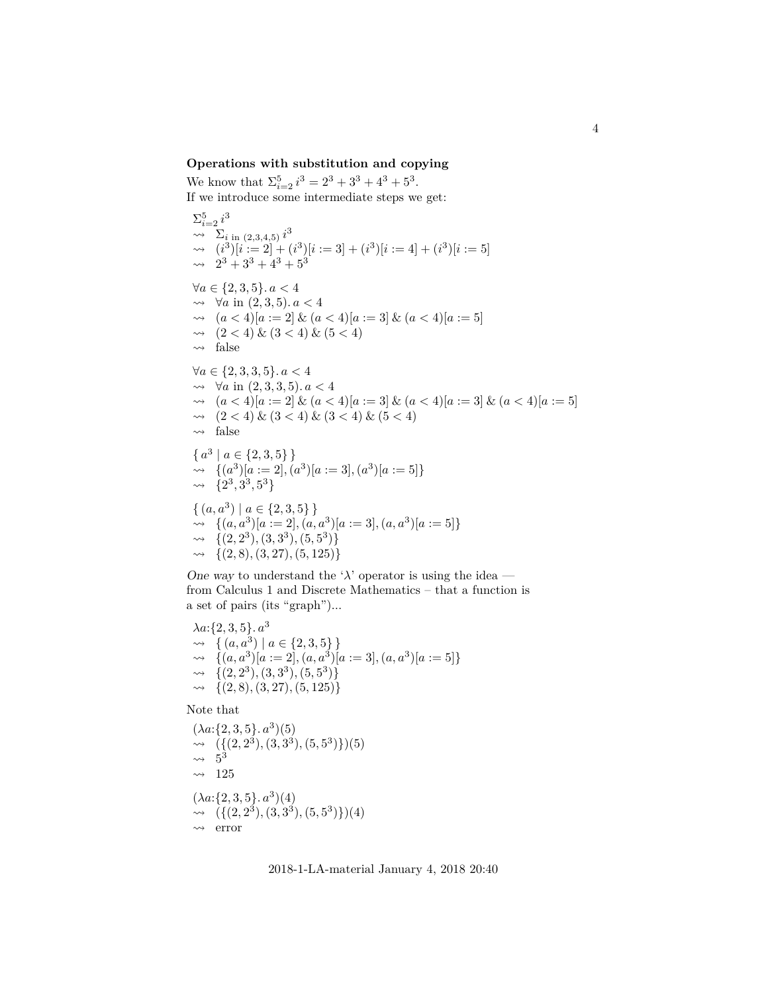#### **Operations with substitution and copying**

We know that  $\Sigma_{i=2}^{5} i^3 = 2^3 + 3^3 + 4^3 + 5^3$ . If we introduce some intermediate steps we get:

 $\Sigma_{i=2}^5 i^3$  $\sim \sum_{i \text{ in } (2,3,4,5)} i^3$  $\rightarrow (i^3)[i] := 2 + (i^3)[i] := 3 + (i^3)[i] := 4 + (i^3)[i] := 5$  $\rightarrow$   $2^3 + 3^3 + 4^3 + 5^3$  $\forall a \in \{2, 3, 5\}$ .  $a < 4$  $\rightarrow$  ∀*a* in (2, 3, 5). *a* < 4  $\rightarrow (a < 4)[a := 2] \& (a < 4)[a := 3] \& (a < 4)[a := 5]$  $\rightarrow (2 < 4) \& (3 < 4) \& (5 < 4)$  $\rightarrow$  false  $\forall a \in \{2, 3, 3, 5\}$ .  $a < 4$  $\rightarrow$  ∀*a* in (2, 3, 3, 5). *a* < 4  $\rightarrow (a < 4)[a := 2] \& (a < 4)[a := 3] \& (a < 4)[a := 3] \& (a < 4)[a := 5]$  $\rightarrow (2 < 4) \& (3 < 4) \& (3 < 4) \& (5 < 4)$  $\rightarrow$  false  $\{a^3 \mid a \in \{2,3,5\}\}\.$  $\rightarrow \{ (a^3) | a := 2 |, (a^3) | a := 3 |, (a^3) | a := 5 \}$  $\rightarrow \{2^3, 3^3, 5^3\}$  $\{(a, a^3) \mid a \in \{2, 3, 5\}\}\$  $\rightarrow \{(a, a^3)[a := 2], (a, a^3)[a := 3], (a, a^3)[a := 5]\}$  $\rightarrow \{ (2, 2^3), (3, 3^3), (5, 5^3) \}$  $\rightarrow \{(2, 8), (3, 27), (5, 125)\}\$ 

One way to understand the ' $\lambda$ ' operator is using the idea from Calculus 1 and Discrete Mathematics – that a function is a set of pairs (its "graph")...

 $\lambda a: \{2, 3, 5\}$ .  $a^3$  $\rightarrow \{ (a, a^3) \mid a \in \{2, 3, 5\} \}$  $\rightarrow \{ (a, a^3) | a := 2 \}, (a, a^3) | a := 3 \}, (a, a^3) | a := 5 \}$  $\rightarrow \{ (2, 2^3), (3, 3^3), (5, 5^3) \}$  $\rightarrow \{(2, 8), (3, 27), (5, 125)\}\$ 

Note that

 $(\lambda a:\{2,3,5\}.\ a^3)(5)$  $\rightarrow \left(\{(2,2^3), (3,3^3), (5,5^3)\}\right)(5)$  $\rightsquigarrow 5^3$  $\rightarrow$  125  $(\lambda a:\{2,3,5\}.\ a^3)(4)$  $\rightarrow$   $({(2,2^3), (3,3^3), (5,5^3)})(4)$  $\rightarrow$  error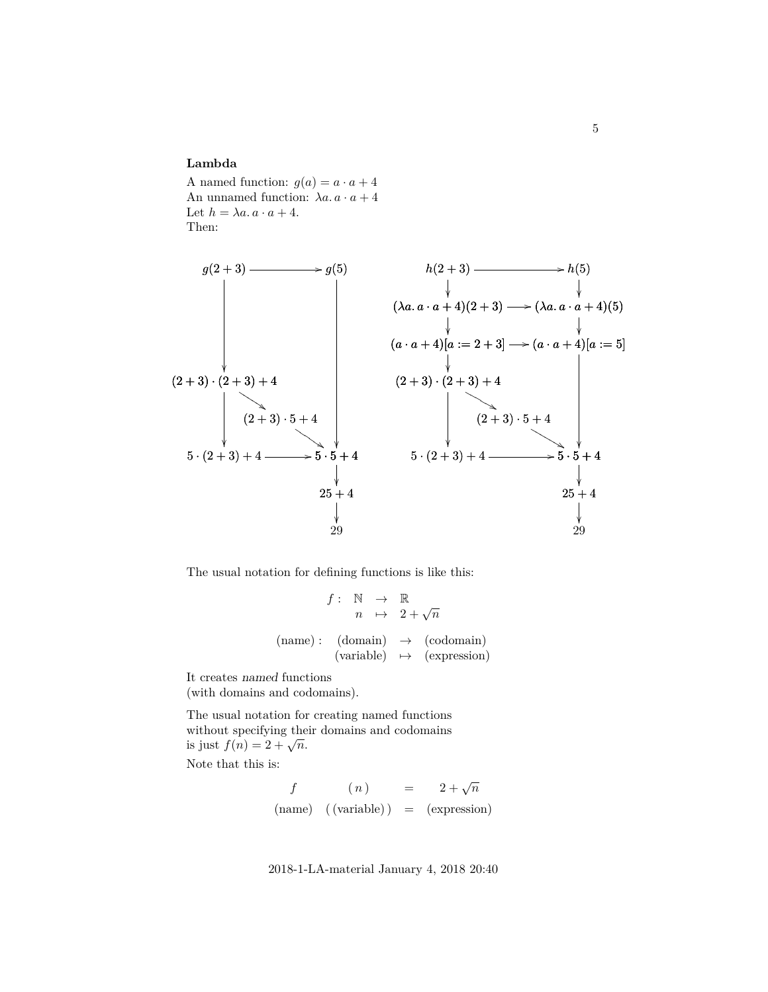#### **Lambda**

A named function:  $g(a) = a \cdot a + 4$ An unnamed function:  $\lambda a \cdot a + 4$ Let  $h = \lambda a \cdot a \cdot a + 4$ . Then:



The usual notation for defining functions is like this:

$$
f: \mathbb{N} \to \mathbb{R}
$$
  
\n
$$
n \mapsto 2 + \sqrt{n}
$$
  
\n(name): (domain)  $\to$  (codomain)  
\n(variable)  $\mapsto$  (expression)

It creates named functions (with domains and codomains).

The usual notation for creating named functions without specifying their domains and codomains whilout specifying the<br>is just  $f(n) = 2 + \sqrt{n}$ .

Note that this is:

$$
f \qquad (n) = 2 + \sqrt{n}
$$
  
(name) ((variable)) = (expression)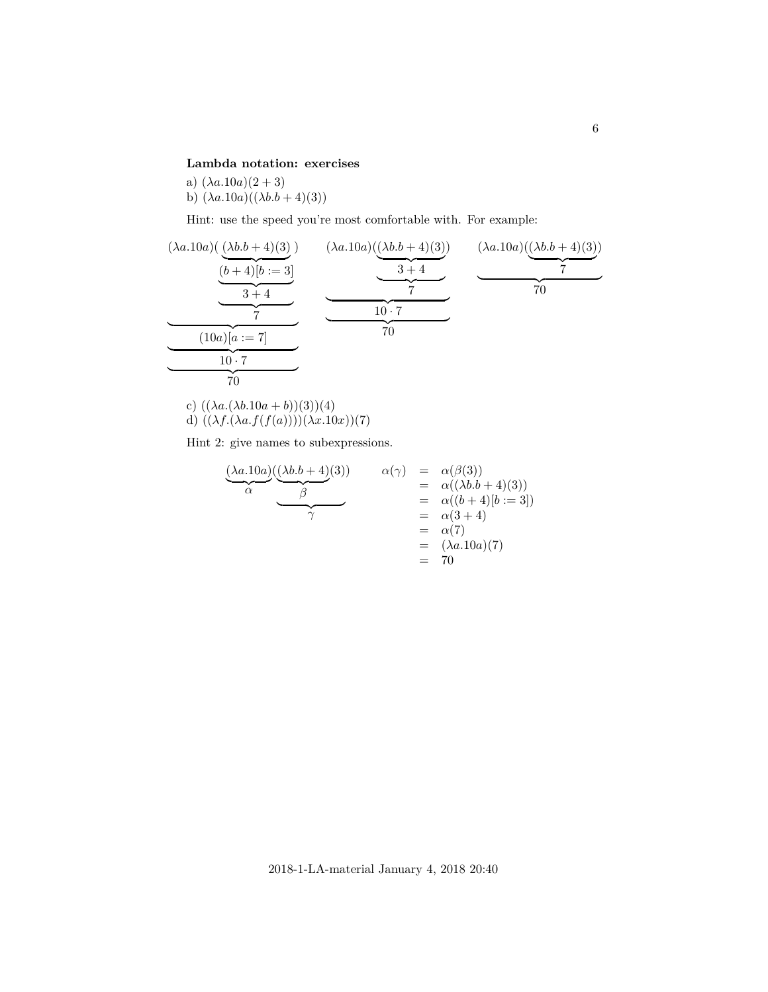## **Lambda notation: exercises**

a)  $(\lambda a.10a)(2+3)$ b)  $(\lambda a.10a)((\lambda b.b + 4)(3))$ 

Hint: use the speed you're most comfortable with. For example:

$$
\underbrace{(\lambda a.10a)(\underbrace{(\lambda b. b + 4)(3)}_{(b+4)[b := 3]}}_{70} \underbrace{(\lambda a.10a)(\underbrace{(\lambda b. b + 4)(3)}_{7})}_{70} \underbrace{(\lambda a.10a)(\underbrace{(\lambda b. b + 4)(3)}_{7})}_{70} \underbrace{(\lambda a.10a)(\underbrace{(\lambda b. b + 4)(3)}_{7})}_{70}
$$

c)  $((\lambda a.(\lambda b.10a + b))(3))(4)$ d)  $((\lambda f.(\lambda a.f(f(a))))(\lambda x.10x))(7)$ 

Hint 2: give names to subexpressions.

$$
\begin{array}{c}\n\frac{(\lambda a.10a)((\lambda b.b + 4)(3))}{\alpha} & \alpha(\gamma) & = & \alpha(\beta(3)) \\
\hline\n\gamma & = & \alpha((\lambda b.b + 4)(3)) \\
\hline\n\gamma & = & \alpha((b + 4)[b := 3]) \\
 & = & \alpha(3 + 4) \\
 & = & \alpha(7) \\
 & = & (\lambda a.10a)(7) \\
 & = & 70\n\end{array}
$$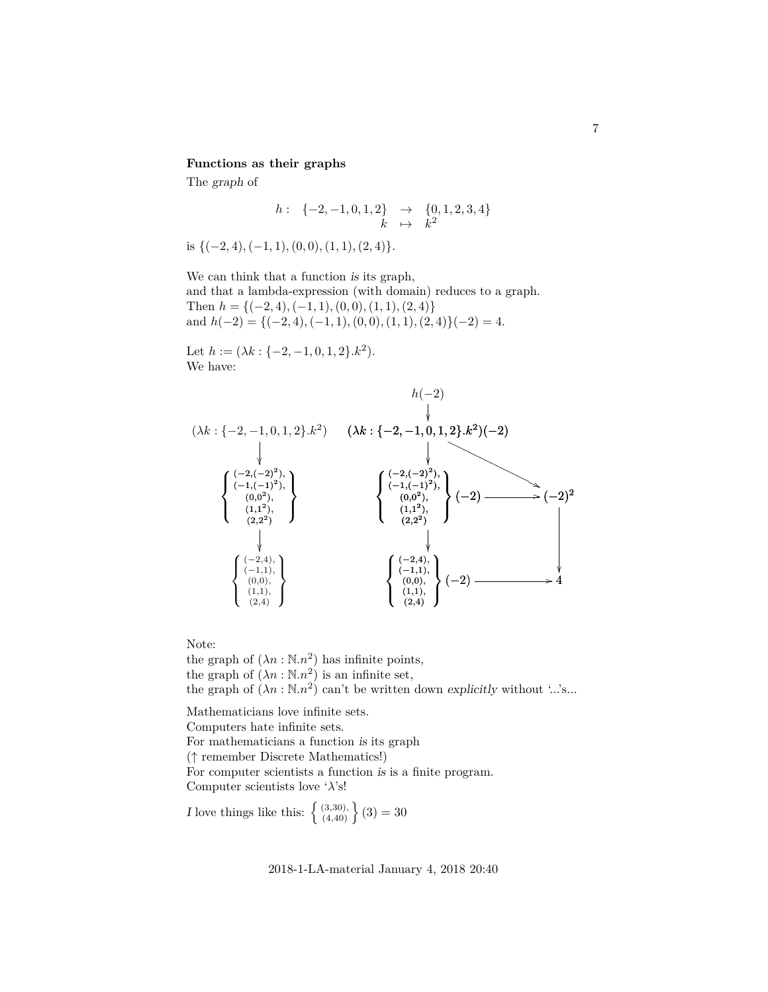#### **Functions as their graphs**

The graph of

$$
\begin{array}{cccc} h: & \{-2,-1,0,1,2\} & \rightarrow & \{0,1,2,3,4\} \\ & k & \mapsto & k^2 \end{array}
$$

is  ${(-2, 4), (-1, 1), (0, 0), (1, 1), (2, 4)}.$ 

We can think that a function is its graph, and that a lambda-expression (with domain) reduces to a graph. Then  $h = \{(-2, 4), (-1, 1), (0, 0), (1, 1), (2, 4)\}\$ and  $h(-2) = {(-2, 4), (-1, 1), (0, 0), (1, 1), (2, 4)}(-2) = 4.$ 

Let  $h := (\lambda k : \{-2, -1, 0, 1, 2\}.k^2).$ We have:



Note:

the graph of  $(\lambda n : \mathbb{N}.n^2)$  has infinite points, the graph of  $(\lambda n : \mathbb{N} \cdot n^2)$  is an infinite set, the graph of  $(\lambda n : \mathbb{N} \cdot n^2)$  can't be written down explicitly without '...'s...

Mathematicians love infinite sets. Computers hate infinite sets. For mathematicians a function is its graph (↑ remember Discrete Mathematics!) For computer scientists a function is is a finite program. Computer scientists love ' $\lambda$ 's!

*I* love things like this:  $\{ \begin{bmatrix} (3,30), \\ (4,40) \end{bmatrix} (3) = 30$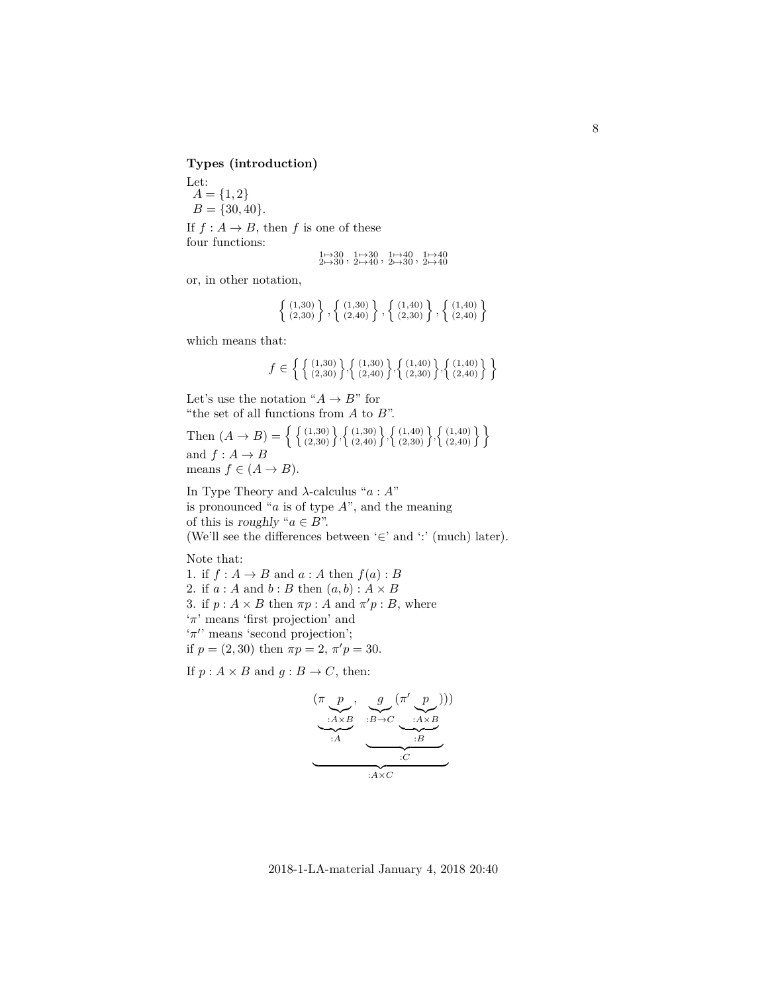**Types (introduction)**

Let:  $A = \{1, 2\}$  $B = \{30, 40\}.$ If  $f : A \to B$ , then f is one of these four functions:

$$
\begin{array}{c} 1\mapsto 30\\ 2\mapsto 30\\ \end{array},\ \begin{array}{c} 1\mapsto 30\\ 2\mapsto 40\\ \end{array},\ \begin{array}{c} 1\mapsto 40\\ 2\mapsto 30\\ \end{array},\ \begin{array}{c} 1\mapsto 40\\ 2\mapsto 40\\ \end{array}
$$

or, in other notation,

$$
\left\{ \begin{array}{c} (1,30) \\ (2,30) \end{array} \right\}, \left\{ \begin{array}{c} (1,30) \\ (2,40) \end{array} \right\}, \left\{ \begin{array}{c} (1,40) \\ (2,30) \end{array} \right\}, \left\{ \begin{array}{c} (1,40) \\ (2,40) \end{array} \right\}
$$

which means that:

$$
f \in \left\{ \left\{ \begin{smallmatrix} (1,30) \\ (2,30) \end{smallmatrix} \right\}, \left\{ \begin{smallmatrix} (1,30) \\ (2,40) \end{smallmatrix} \right\}, \left\{ \begin{smallmatrix} (1,40) \\ (2,30) \end{smallmatrix} \right\}, \left\{ \begin{smallmatrix} (1,40) \\ (2,40) \end{smallmatrix} \right\} \right\}
$$

Let's use the notation " $A \rightarrow B$ " for "the set of all functions from  $A$  to  $B$ ".

Then  $(A \rightarrow B) = \left\{ \left\{ \begin{array}{l} (1,30) \\ (2,30) \end{array} \right\}, \left\{ \begin{array}{l} (1,30) \\ (2,40) \end{array} \right\}, \left\{ \begin{array}{l} (1,40) \\ (2,30) \end{array} \right\}, \left\{ \begin{array}{l} (1,40) \\ (2,40) \end{array} \right\} \right\}$ and  $f : A \rightarrow B$ means  $f \in (A \rightarrow B)$ .

In Type Theory and  $\lambda$ -calculus "a: A" is pronounced " $a$  is of type  $A$ ", and the meaning of this is roughly " $a \in B$ ". (We'll see the differences between '∈' and ':' (much) later).

Note that:

1. if  $f : A \rightarrow B$  and  $a : A$  then  $f(a) : B$ 2. if  $a : A$  and  $b : B$  then  $(a, b) : A \times B$ 3. if  $p: A \times B$  then  $\pi p: A$  and  $\pi' p: B$ , where 'π' means 'first projection' and  $\pi$ " means 'second projection';

if  $p = (2, 30)$  then  $\pi p = 2, \pi' p = 30$ .

If  $p : A \times B$  and  $q : B \to C$ , then:

$$
\underbrace{(\pi \underbrace{p}_{:A \times B}, \underbrace{g}_{:B \to C} (\pi' \underbrace{p}_{:A \times B}))}_{::A} = \underbrace{(\pi \underbrace{p}_{:A \times B})}{\underbrace{(\pi \underbrace{p}_{:B})}_{::B}}
$$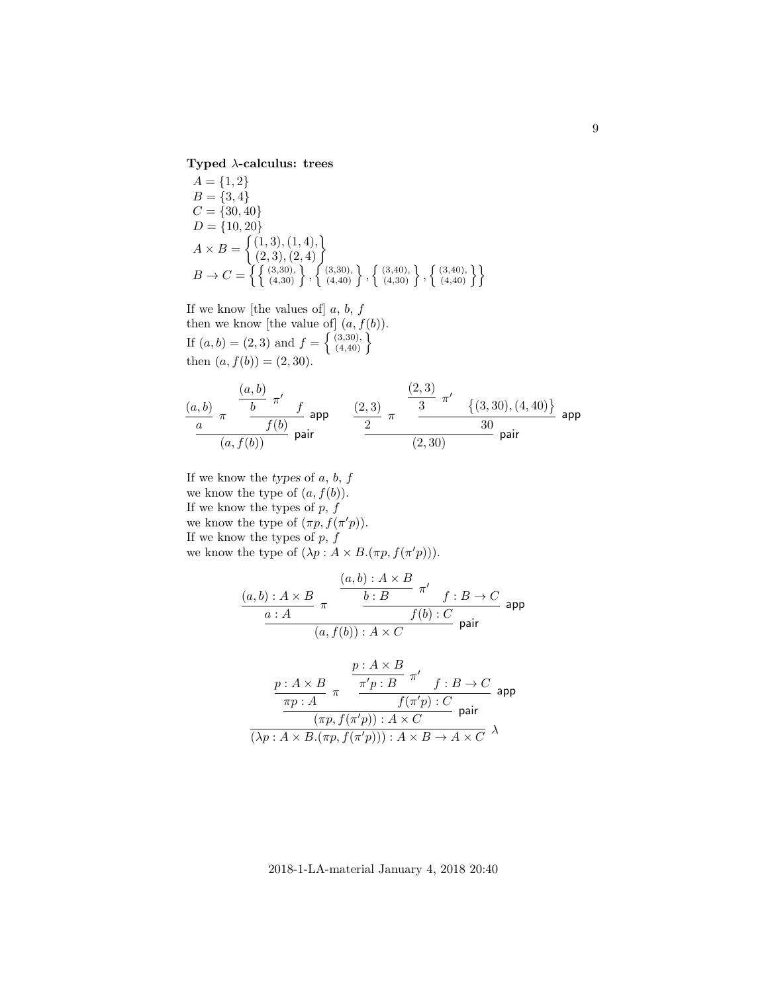**Typed** λ**-calculus: trees**

$$
A = \{1, 2\}
$$
  
\n
$$
B = \{3, 4\}
$$
  
\n
$$
C = \{30, 40\}
$$
  
\n
$$
D = \{10, 20\}
$$
  
\n
$$
A \times B = \begin{cases} (1, 3), (1, 4), \\ (2, 3), (2, 4) \end{cases}
$$
  
\n
$$
B \rightarrow C = \left\{ \begin{cases} (3, 30), \\ (4, 30) \end{cases}, \begin{cases} (3, 40), \\ (4, 40) \end{cases} \right\}, \left\{ \begin{cases} (3, 40), \\ (4, 40) \end{cases} \right\}, \left\{ \begin{cases} (3, 40), \\ (4, 40) \end{cases} \right\}
$$

If we know [the values of]  $a, b, f$ then we know [the value of]  $(a, f(b))$ . If  $(a, b) = (2, 3)$  and  $f = \left\{ \begin{array}{l} (3,30), \\ (4,40) \end{array} \right\}$ then  $(a, f(b)) = (2, 30)$ .

$$
\frac{(a,b)}{a} \frac{\pi}{\pi} \frac{\frac{(a,b)}{b} \pi'}{\frac{f(b)}{f(b)}} \text{ pair} \qquad \frac{(2,3)}{2} \frac{\pi}{\pi} \frac{\frac{(2,3)}{3} \pi'}{\frac{(3,30),(4,40)}{30}} \text{ pair}
$$

If we know the types of  $a, b, f$ we know the type of  $(a, f(b))$ . If we know the types of  $p, f$ we know the type of  $(\pi p, f(\pi' p))$ . If we know the types of  $p,\,f$ we know the type of  $(\lambda p : A \times B.(\pi p, f(\pi' p)))$ .

$$
\frac{(a,b): A \times B}{a:A} \pi \xrightarrow{\begin{array}{c} (a,b): A \times B \\ b:B \end{array}} \frac{\pi'}{f:B \to C} \text{ app}
$$
\n
$$
\frac{a:A}{(a,f(b)): A \times C} \text{ pair}
$$

$$
\frac{p: A\times B}{\frac{\pi p: A}{\pi p: B} \pi'} \frac{\frac{p: A\times B}{\pi' p: B} \pi'}{f(\pi' p): C} \text{ app}
$$
\n
$$
\frac{\frac{\pi p: A}{\pi p: A} \pi'}{(\lambda p: A\times B. (\pi p, f(\pi' p))) : A\times C} \text{ pair}
$$
\n
$$
\frac{\lambda p: A \times B. (\pi p, f(\pi' p))) : A \times B \to A \times C}{} \lambda
$$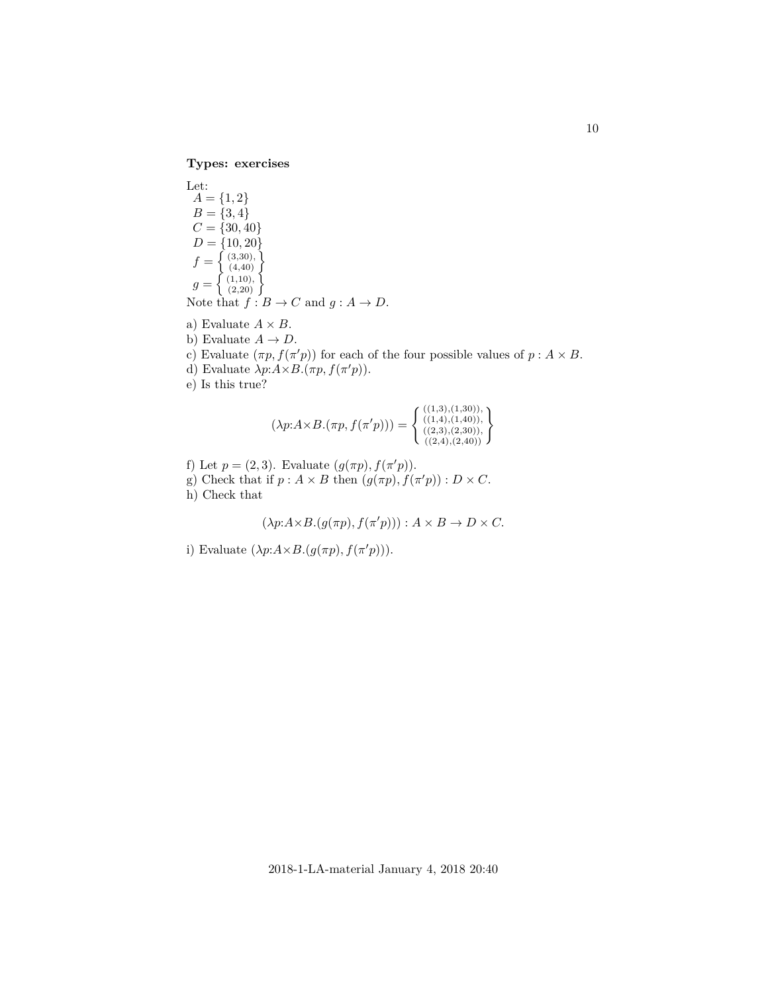**Types: exercises**

Let:  $A = \{1, 2\}$  $B = \{3, 4\}$  $C = \{30, 40\}$  $D = \{10, 20\}$  $f = \left\{ \begin{array}{c} (3,30), \\ (4,40) \end{array} \right\}$  $g = \left\{ \begin{array}{c} (1,10), \\ (2,20) \end{array} \right\}$ Note that  $f : B \to C$  and  $g : A \to D$ .

- a) Evaluate  $A \times B$ .
- b) Evaluate  $A \rightarrow D$ .
- c) Evaluate  $(\pi p, f(\pi' p))$  for each of the four possible values of  $p : A \times B$ .
- d) Evaluate  $\lambda p: A \times B. (\pi p, f(\pi' p)).$
- e) Is this true?

$$
(\lambda p: A \times B.(\pi p, f(\pi' p))) = \begin{cases} ((1,3),(1,30)), \\ ((1,4),(1,40)), \\ ((2,3),(2,30)), \\ ((2,4),(2,40)) \end{cases}
$$

- f) Let  $p = (2, 3)$ . Evaluate  $(g(\pi p), f(\pi' p))$ .
- g) Check that if  $p : A \times B$  then  $(g(\pi p), f(\pi' p)) : D \times C$ .
- h) Check that

$$
(\lambda p: A \times B \cdot (g(\pi p), f(\pi' p))) : A \times B \to D \times C.
$$

i) Evaluate  $(\lambda p: A \times B \cdot (g(\pi p), f(\pi' p)))$ .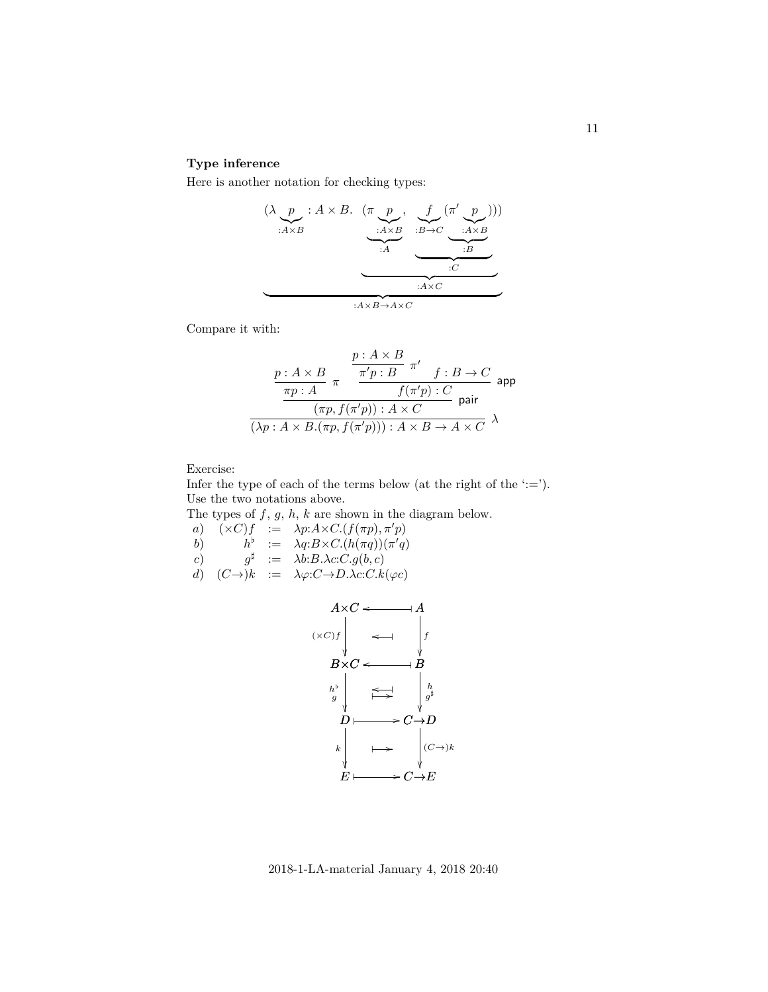## **Type inference**

Here is another notation for checking types:

$$
\underbrace{(\lambda \underbrace{p}_{:A \times B} : A \times B \cdot (\pi \underbrace{p}_{:A \times B}, \underbrace{f}_{:B \to C} (\pi' \underbrace{p}_{:A \times B}))}_{::A} ))
$$
\n
$$
\underbrace{(\lambda \underbrace{p}_{:A \times B}, \underbrace{f}_{:B \to C} (\pi' \underbrace{p}_{:A \times B}))}_{::A \times C}
$$

Compare it with:

$$
\frac{p: A \times B}{\pi p: A} \pi \frac{\frac{p: A \times B}{\pi' p: B} \pi' \quad f: B \to C}{f(\pi' p): C}
$$
app  

$$
\frac{p: A \times B}{(\pi p, f(\pi' p)): A \times C} \text{ pair}
$$
  

$$
\overline{(\lambda p: A \times B.(\pi p, f(\pi' p))) : A \times B \to A \times C} \quad \lambda
$$

Exercise:

Infer the type of each of the terms below (at the right of the  $\div$ ='). Use the two notations above.

The types of  $f, g, h, k$  are shown in the diagram below.

a)  $(\times C)f := \lambda p:A \times C \cdot (f(\pi p), \pi' p)$ b)  $h^{\flat} := \lambda q : B \times C \cdot (h(\pi q)) (\pi' q)$ c)  $g^{\sharp} := \lambda b : B \cdot \lambda c : C \cdot g(b, c)$ d)  $(C\rightarrow)k := \lambda\varphi:C\rightarrow D.\lambda c:C.k(\varphi c)$ 



2018-1-LA-material January 4, 2018 20:40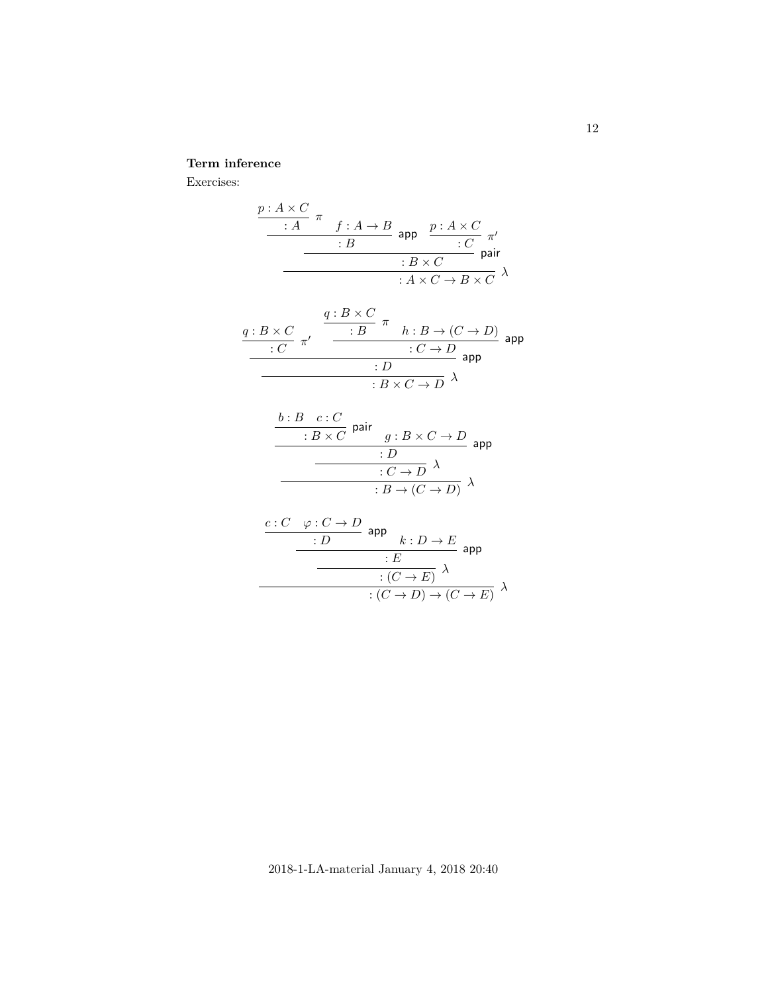# **Term inference**

Exercises:

$$
\begin{array}{c|c}\n\frac{p:A \times C}{\cdot A} & \pi \\
\hline\n\cdot B & \text{app} \\
\hline\n\cdot B & \cdot C \\
\hline\n\cdot B \times C & \text{pair} \\
\hline\n\cdot A \times C \to B \times C\n\end{array}
$$

$$
\frac{q:B \times C}{\cdot C} \pi' \quad \xrightarrow{\begin{array}{c} q:B \times C \\ \hline \cdot B \end{array}} \pi \quad h:B \to (C \to D) \text{ } \text{app}
$$
\n
$$
\xrightarrow{\cdot C \to D} \text{ } \text{app}
$$
\n
$$
\xrightarrow{\cdot D} \text{ } \text{app}
$$

$$
\frac{b:B \ c:C}{B \times C} \text{ pair } g:B \times C \to D
$$
\n
$$
\frac{D}{C \to D} \lambda
$$
\n
$$
B \to (C \to D) \lambda
$$

$$
\begin{array}{c}\n\frac{c:C \quad \varphi:C \to D}{:D \quad \text{app}} \\
\hline\n\frac{\cdot E}{:C \to E)} \quad \lambda \\
\hline\n\frac{\cdot (C \to E)}{\cdot (C \to D) \to (C \to E)} \quad \lambda\n\end{array}
$$

2018-1-LA-material January 4, 2018 20:40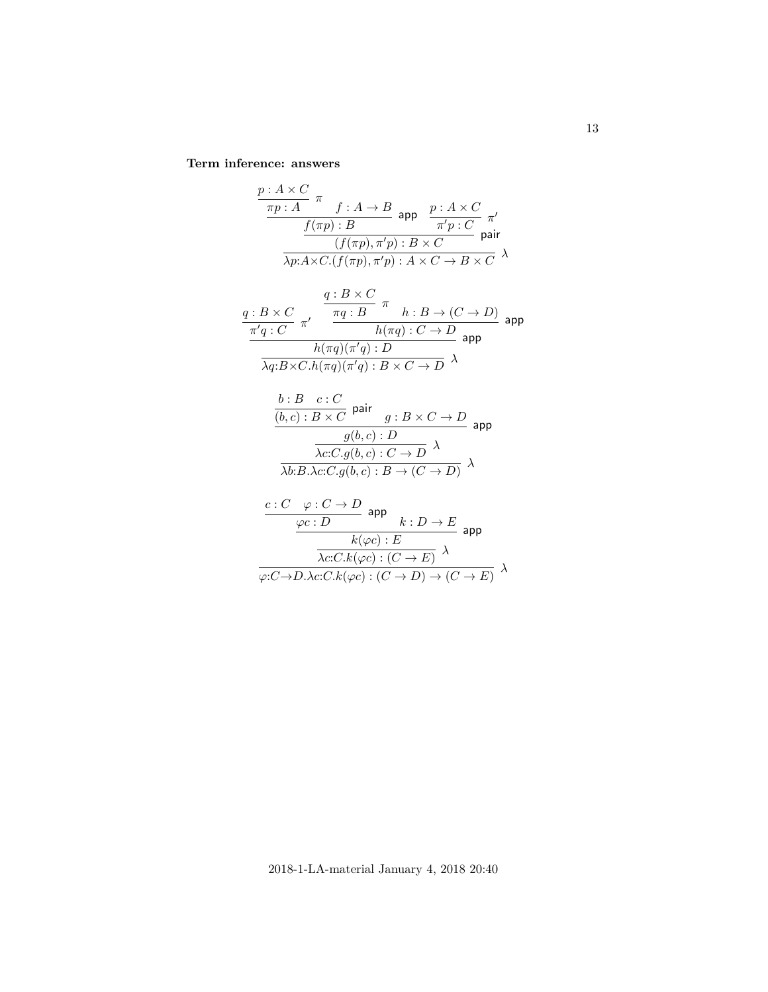**Term inference: answers**

$$
\frac{p: A \times C}{\pi p: A} \pi f: A \to B \text{ app } \frac{p: A \times C}{\pi' p: C} \pi'
$$
  

$$
\frac{f(\pi p): B}{\lambda p: A \times C \cdot (f(\pi p), \pi' p): B \times C} \text{ pair}
$$
  

$$
q: B \times C
$$

$$
\frac{q: B \times C}{\pi' q: C} \pi' \frac{\pi q: B}{\pi q: B} \pi h: B \to (C \to D)
$$
\n
$$
\frac{h(\pi q): C \to D}{h(\pi q)(\pi' q): D} \text{ app}
$$
\n
$$
\frac{h(\pi q)(\pi' q): D}{\lambda q: B \times C.h(\pi q)(\pi' q): B \times C \to D} \lambda
$$

$$
\frac{b:B \ c:C}{(b,c): B \times C} \text{ pair } g:B \times C \to D
$$
\n
$$
\frac{g(b,c): D}{\lambda c:C.g(b,c): C \to D} \text{ app}
$$
\n
$$
\frac{\lambda c:C.g(b,c): C \to D}{\lambda b:B.\lambda c:C.g(b,c): B \to (C \to D)} \lambda
$$

$$
\frac{c:C \varphi:C \to D}{\varphi c:D} \text{ app} \qquad k:D \to E
$$
\n
$$
\frac{k(\varphi c):E}{\lambda c:C.k(\varphi c):(C \to E)} \text{ app}
$$
\n
$$
\varphi:C \to D. \lambda c:C.k(\varphi c):(C \to D) \to (C \to E) \quad \lambda
$$

2018-1-LA-material January 4, 2018 20:40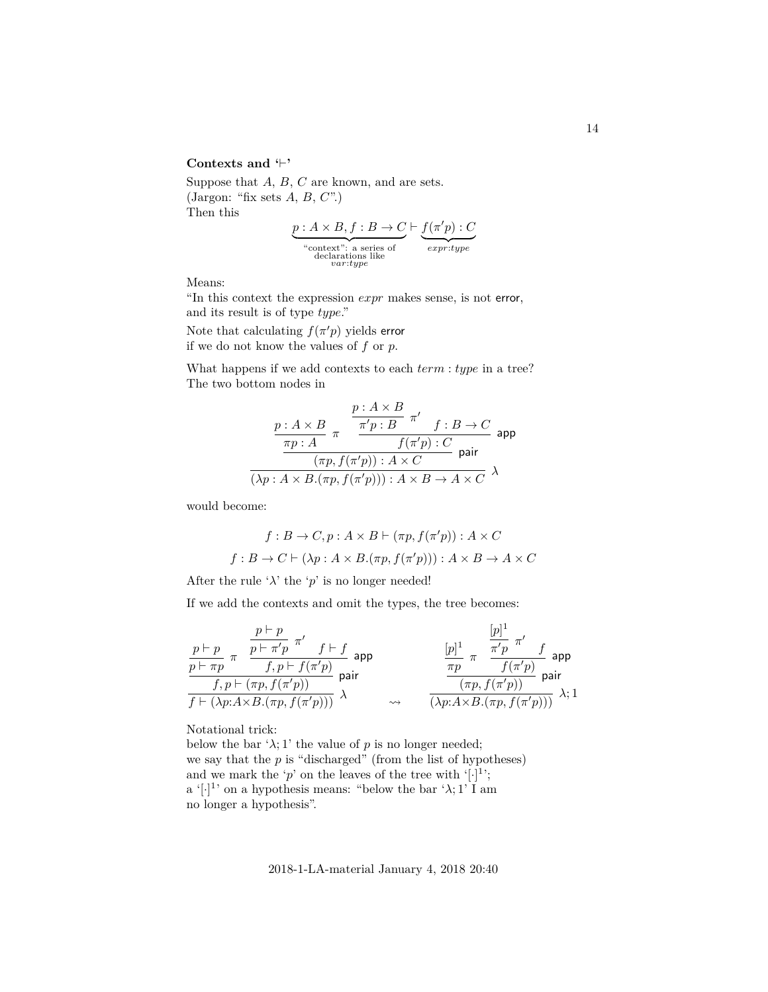### Contexts and  $\vdash$ <sup>\*</sup>

Suppose that A, B, C are known, and are sets. (Jargon: "fix sets  $A, B, C$ ".) Then this

$$
\underbrace{p:A\times B, f:B\to C}_{\substack{\text{``context": a series of}\\\text{declarations like}}} \underbrace{f(\pi'p):C}_{\substack{expr:type}\\\text{*}\\\text{``current: type}}
$$

Means:

"In this context the expression expr makes sense, is not error, and its result is of type  $type$ ."

Note that calculating  $f(\pi'p)$  yields error if we do not know the values of  $f$  or  $p$ .

What happens if we add contexts to each  $term : type$  in a tree? The two bottom nodes in

$$
\frac{p: A\times B}{\frac{\pi p: A}{\pi p: B}} \frac{\pi'}{\pi'} \frac{f:B \to C}{f(\pi'p): C} \text{ app}
$$
\n
$$
\frac{\frac{\pi p: A}{\pi p: A} \pi'}{(\pi p, f(\pi'p)): A \times C} \text{ pair}
$$
\n
$$
\frac{\pi p: A \times B}{(\lambda p: A \times B.(\pi p, f(\pi'p))): A \times B \to A \times C} \text{ } \lambda
$$

would become:

$$
f: B \to C, p: A \times B \vdash (\pi p, f(\pi' p)): A \times C
$$

$$
f: B \to C \vdash (\lambda p: A \times B.(\pi p, f(\pi' p))) : A \times B \to A \times C
$$

After the rule ' $\lambda$ ' the 'p' is no longer needed!

If we add the contexts and omit the types, the tree becomes:

$$
\begin{array}{ll} \frac{p \vdash p}{p \vdash \pi p} \ \pi \ & \displaystyle \frac{p \vdash p}{f, p \vdash \pi' p} \ \pi' \quad f \vdash f \\ \frac{p \vdash \pi p}{f, p \vdash (\pi p, f(\pi' p))} \ \text{pair} \\ \hline f \vdash (\lambda p: A \times B.(\pi p, f(\pi' p))) \end{array} \quad \text{pair} \quad \qquad \begin{array}{ll} \quad [p]^1 \ \pi \ & \displaystyle \frac{\pi' p}{\pi' p} \ \pi' \quad f \\ \frac{\pi p}{\pi p} \ \pi \ & \displaystyle \frac{\pi' p}{f(\pi' p)} \ \text{pair} \\ \frac{\pi p}{\pi \ & \displaystyle \frac{f(\pi' p)}{f(\pi' p)} \ \text{pair} \\ \frac{\pi p}{\pi \ & \displaystyle \frac{f(\pi' p)}{f(\pi' p)} \ \text{pair} \\ \frac{\pi p}{\pi \ & \displaystyle \frac{f(\pi' p)}{f(\pi' p)} \ \text{pair} \\ \frac{\pi p}{\pi \ & \displaystyle \frac{f(\pi' p)}{f(\pi' p)} \ \text{pair} \\ \frac{\pi p}{\pi \ & \displaystyle \frac{f(\pi' p)}{f(\pi' p)} \ \text{pair} \\ \frac{\pi p}{\pi \ & \displaystyle \frac{f(\pi' p)}{f(\pi' p)} \ \text{pair} \\ \frac{\pi p}{\pi \ & \displaystyle \frac{f(\pi' p)}{f(\pi' p)} \ \text{pair} \\ \frac{\pi p}{\pi \ & \displaystyle \frac{f(\pi' p)}{f(\pi' p)} \ \text{pair} \\ \frac{\pi p}{\pi \ & \displaystyle \frac{f(\pi' p)}{f(\pi' p)} \ \text{pair} \\ \frac{\pi p}{\pi \ & \displaystyle \frac{f(\pi' p)}{f(\pi' p)} \ \text{pair} \\ \frac{\pi p}{\pi \ & \displaystyle \frac{f(\pi' p)}{f(\pi' p)} \ \text{pair} \\ \frac{\pi p}{\pi \ & \displaystyle \frac{f(\pi' p)}{f(\pi' p)} \ \text{pair} \\ \frac{\pi p}{\pi \ & \displaystyle \frac{f(\pi' p)}{f(\pi' p)} \ \text{pair} \\ \frac{\pi p}{\pi \ & \displaystyle \frac{f(\pi' p)}{f(\pi' p)} \ \text{pair} \\ \frac{\pi p}{\pi \ & \displaystyle \frac{f(\pi' p)}{f(\pi' p)} \ \text{pair}
$$

Notational trick:

below the bar ' $\lambda$ ; 1' the value of p is no longer needed; we say that the  $p$  is "discharged" (from the list of hypotheses) and we mark the 'p' on the leaves of the tree with '[.]<sup>1</sup>';  $a'[\cdot]^1$  on a hypothesis means: "below the bar ' $\lambda$ ; 1' I am no longer a hypothesis".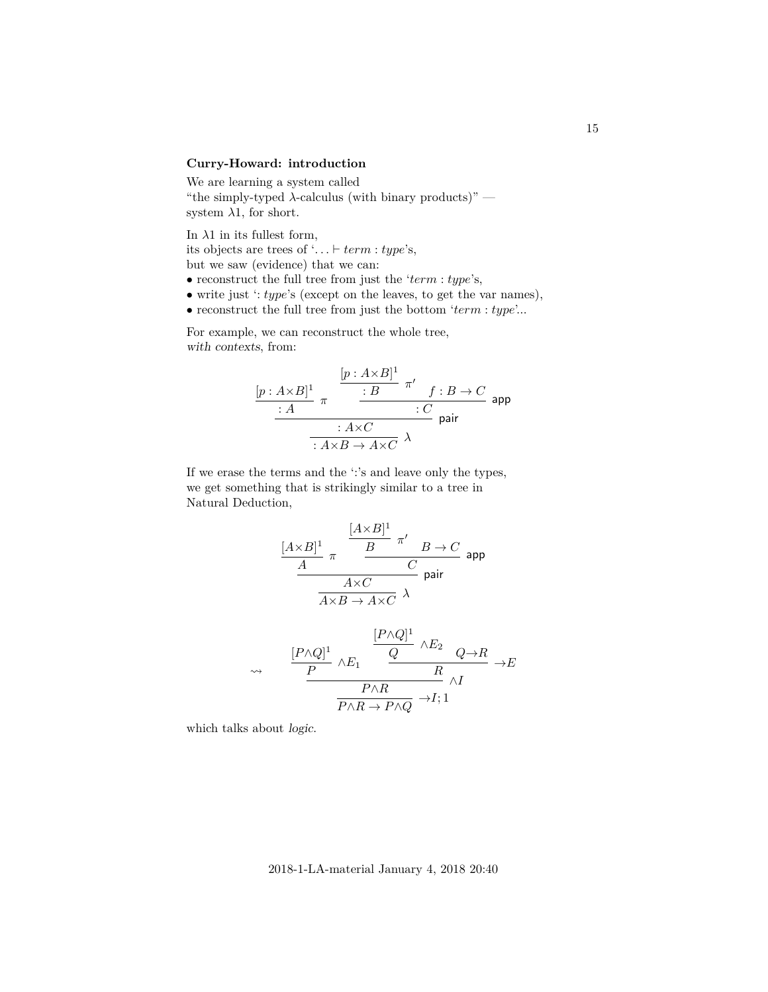# **Curry-Howard: introduction**

We are learning a system called "the simply-typed  $\lambda$ -calculus (with binary products)" system  $\lambda$ 1, for short.

In  $\lambda 1$  in its fullest form, its objects are trees of '...  $\vdash term : type$ 's, but we saw (evidence) that we can:

- reconstruct the full tree from just the ' $term : type$ 's,
- write just  $\cdot$ : *type*'s (except on the leaves, to get the var names),
- $\bullet$  reconstruct the full tree from just the bottom  $\lq term$  :  $type\lq.$

For example, we can reconstruct the whole tree, with contexts, from:

$$
\frac{[p: A \times B]^1}{: A} \pi \xrightarrow{\qquad [p: A \times B]^1} \pi' \qquad f: B \to C
$$
\n
$$
\xrightarrow{\qquad : A \times C} \text{pair}
$$
\n
$$
\xrightarrow{\qquad : A \times C} \lambda
$$
\n
$$
\text{pair}
$$

If we erase the terms and the ':'s and leave only the types, we get something that is strikingly similar to a tree in Natural Deduction,

$$
\frac{[A\times B]^1}{\cfrac{A}{A}} \frac{\pi}{\cfrac{B}{A\times C}} \frac{\pi'}{C} \frac{B\to C}{\arctan A\times C} \text{ and}
$$

$$
\begin{array}{ccccc}\n\mathbb{P}\wedge Q]^{1} & & \frac{[P\wedge Q]^{1}}{Q} & \wedge E_{2} & & & \\
\hline\n\frac{P}{Q} & & \mathbb{R} & & \\
\hline\n& & & R & \\
\hline\n& & & & \mathbb{P}\wedge R \\
& & & & & \mathbb{P}\wedge Q\n\end{array}\n\to E
$$

which talks about logic.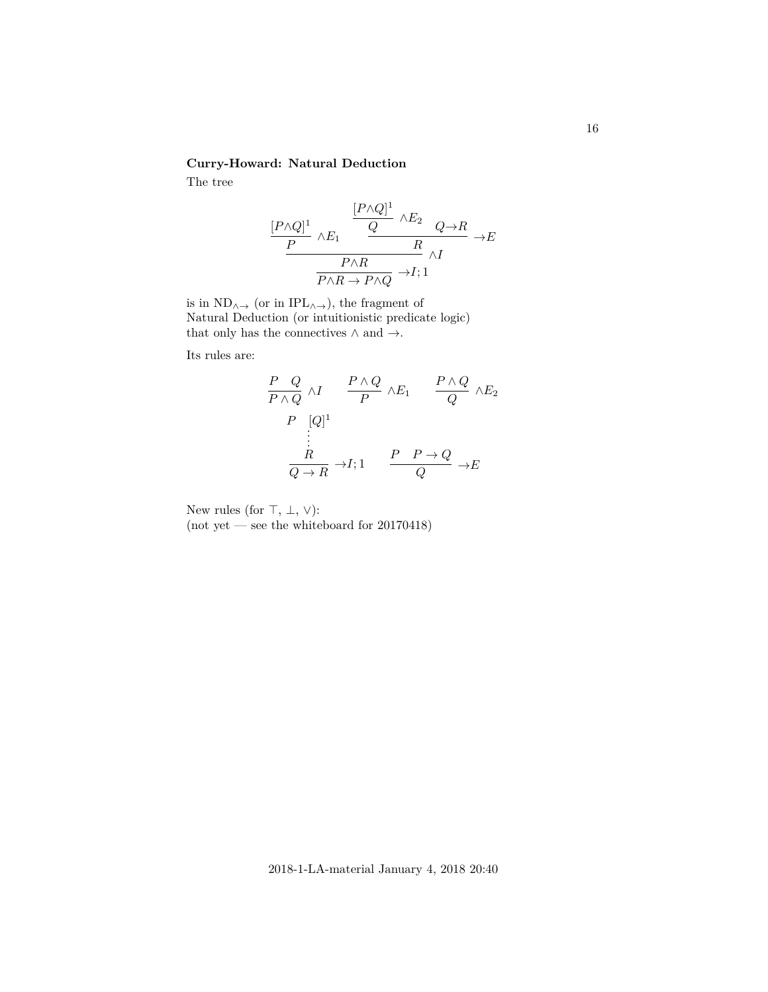## **Curry-Howard: Natural Deduction**

The tree

$$
\frac{[P \land Q]^1}{P} \land E_1 \quad \frac{\frac{[P \land Q]^1}{Q} \land E_2}{R} \land E \quad \frac{P \land R}{P \land R} \to E
$$
\n
$$
\frac{P \land R}{P \land R \to P \land Q} \to I; 1
$$

is in  $\mathrm{ND}_{\wedge\to}$  (or in  $\mathrm{IPL}_{\wedge\to}$  ), the fragment of Natural Deduction (or intuitionistic predicate logic) that only has the connectives  $\wedge$  and  $\rightarrow.$ 

Its rules are:

$$
\frac{P}{P \land Q} \land I \qquad \frac{P \land Q}{P} \land E_1 \qquad \frac{P \land Q}{Q} \land E_2
$$
\n
$$
\frac{P}{P} \quad \frac{[Q]^1}{\vdots}
$$
\n
$$
\frac{R}{Q \to R} \to I; 1 \qquad \frac{P}{Q} \to E \to E
$$

New rules (for  $\top$ ,  $\bot$ ,  $\lor$ ):

(not yet — see the whiteboard for  $20170418$ )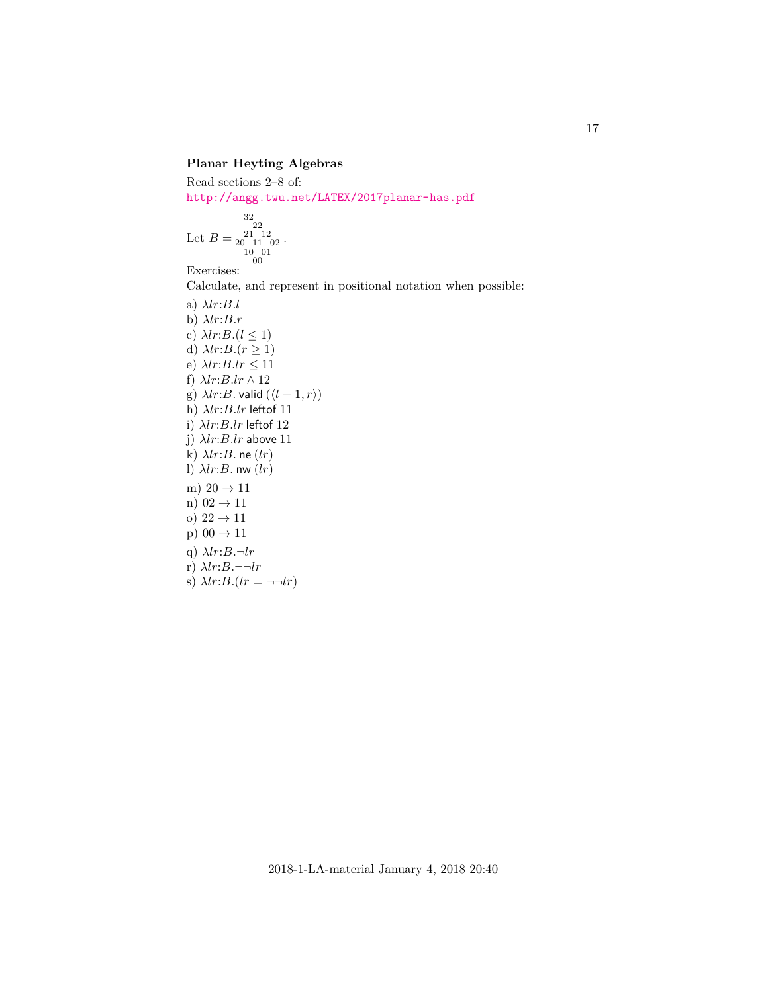# **Planar Heyting Algebras**

Read sections 2–8 of: <http://angg.twu.net/LATEX/2017planar-has.pdf>

$$
\text{Let } B = \substack{22 \\ 22 \\ 20 \\ 11 \\ 10 \\ 00 \\ 00}
$$

Exercises:

Calculate, and represent in positional notation when possible:

a) 
$$
\lambda lr:B.l
$$
  
\nb)  $\lambda lr:B.r$   
\nc)  $\lambda lr:B.(l \le 1)$   
\nd)  $\lambda lr:B.(r \ge 1)$   
\ne)  $\lambda lr:B.lr \le 11$   
\nf)  $\lambda lr:B.lr \wedge 12$   
\ng)  $\lambda lr:B.lr \wedge 12$   
\nh)  $\lambda lr:B.lr$  leftof 11  
\ni)  $\lambda lr:B.lr$  leftof 12  
\nj)  $\lambda lr:B.lr$  above 11  
\nk)  $\lambda lr:B .$  no  $(lr)$   
\nl)  $\lambda lr:B .$  no  $(lr)$   
\nm) 20  $\rightarrow$  11  
\nn) 02  $\rightarrow$  11  
\nn) 02  $\rightarrow$  11  
\np) 00  $\rightarrow$  11  
\nq)  $\lambda lr:B .\neg lr$   
\nr)  $\lambda lr:B .\neg lr$   
\ns)  $\lambda lr:B .\neg l r$   
\ns)  $\lambda lr:B .\neg l r$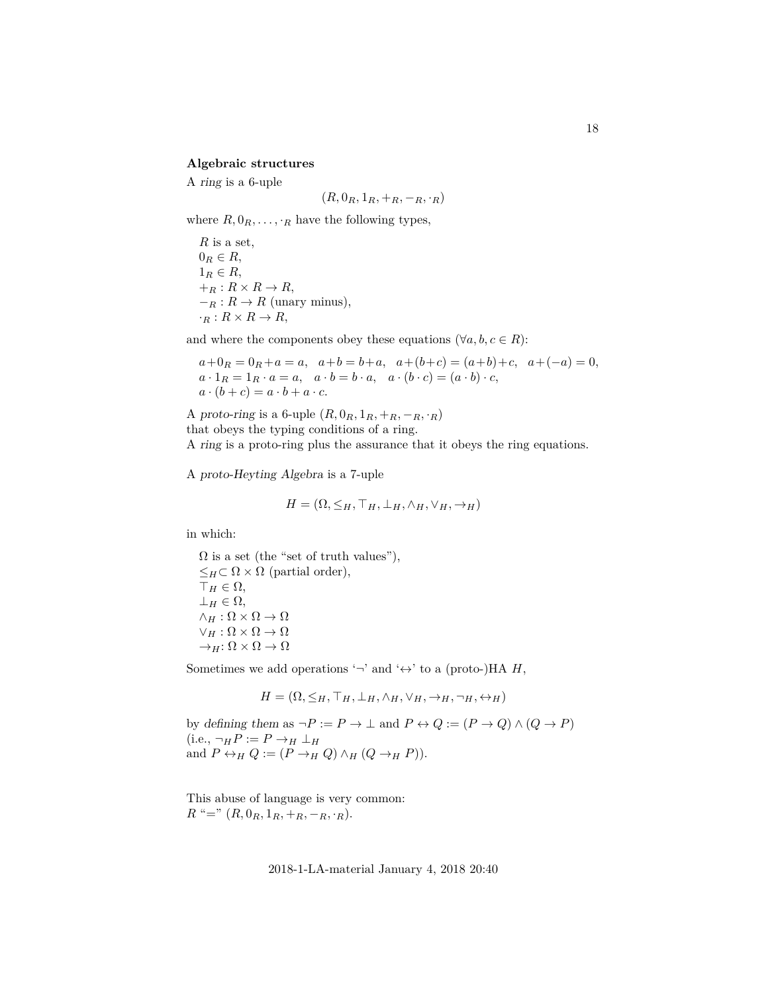#### **Algebraic structures**

A ring is a 6-uple

$$
(R, 0_R, 1_R, +_R, -_R, \cdot_R)
$$

where  $R, 0_R, \ldots, R$  have the following types,

 $R$  is a set,  $0_R \in R$ ,  $1_R \in R$ ,  $+_R: R \times R \rightarrow R,$  $-<sub>R</sub>: R \rightarrow R$  (unary minus),  $\cdot_R : R \times R \to R$ ,

and where the components obey these equations ( $\forall a, b, c \in R$ ):

$$
a + 0R = 0R + a = a, a+b = b+a, a+(b+c) = (a+b)+c, a+(-a) = 0,a \cdot 1R = 1R \cdot a = a, a \cdot b = b \cdot a, a \cdot (b \cdot c) = (a \cdot b) \cdot c,a \cdot (b+c) = a \cdot b + a \cdot c.
$$

A proto-ring is a 6-uple  $(R, 0_R, 1_R, +R, -R, \cdot R)$ that obeys the typing conditions of a ring. A ring is a proto-ring plus the assurance that it obeys the ring equations.

A proto-Heyting Algebra is a 7-uple

$$
H = (\Omega, \leq_H, \top_H, \bot_H, \wedge_H, \vee_H, \rightarrow_H)
$$

in which:

 $\Omega$  is a set (the "set of truth values"),  $\leq_H \subset \Omega \times \Omega$  (partial order),  $\top_H \in \Omega$ ,  $\perp_H \in \Omega$ ,  $\wedge_H : \Omega \times \Omega \to \Omega$  $\vee_H : \Omega \times \Omega \to \Omega$  $\rightarrow_H:\Omega\times\Omega\rightarrow\Omega$ 

Sometimes we add operations '¬' and ' $\leftrightarrow$ ' to a (proto-)HA H,

$$
H = (\Omega, \leq_H, \top_H, \bot_H, \wedge_H, \vee_H, \rightarrow_H, \neg_H, \leftrightarrow_H)
$$

by defining them as  $\neg P := P \to \bot$  and  $P \leftrightarrow Q := (P \to Q) \land (Q \to P)$  $(i.e., \neg_H P := P \rightarrow_H \perp_H$ and  $P \leftrightarrow_H Q := (P \rightarrow_H Q) \land_H (Q \rightarrow_H P)$ .

This abuse of language is very common:  $R^{\mu} = " (R, 0_R, 1_R, +R, -R, \cdot R).$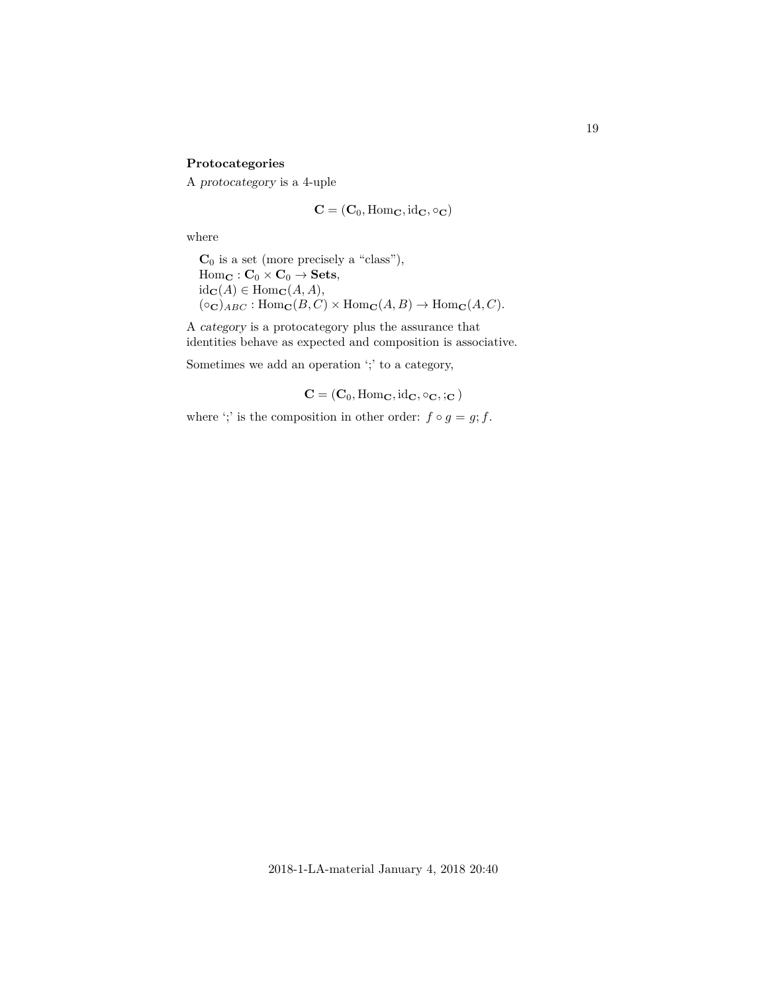# **Protocategories**

A protocategory is a 4-uple

$$
\mathbf{C} = (\mathbf{C}_0, \mathrm{Hom}_{\mathbf{C}}, \mathrm{id}_{\mathbf{C}}, \circ_{\mathbf{C}})
$$

where

 $C_0$  is a set (more precisely a "class"),  $Hom_{\mathbf{C}} : \mathbf{C}_0 \times \mathbf{C}_0 \to \mathbf{Sets},$  $id_{\mathbf{C}}(A) \in \text{Hom}_{\mathbf{C}}(A, A),$  $(\circ_{\mathbf{C}})_{ABC} : \text{Hom}_{\mathbf{C}}(B, C) \times \text{Hom}_{\mathbf{C}}(A, B) \to \text{Hom}_{\mathbf{C}}(A, C).$ 

A category is a protocategory plus the assurance that identities behave as expected and composition is associative.

Sometimes we add an operation ';' to a category,

 $C = (C_0, \text{Hom}_\mathbf{C}, \text{id}_\mathbf{C}, \circ_\mathbf{C}, \cdot, \mathbf{C})$ 

where ';' is the composition in other order:  $f \circ g = g; f$ .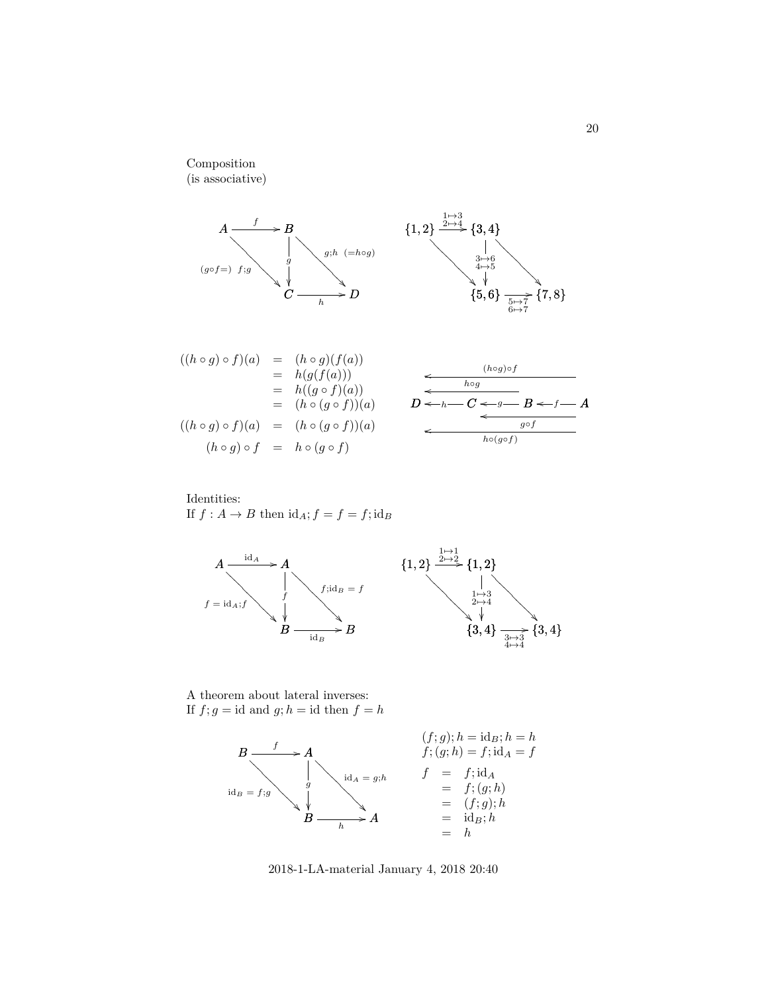Composition (is associative)



$$
((h \circ g) \circ f)(a) = (h \circ g)(f(a))
$$
  
\n
$$
= h(g(f(a)))
$$
  
\n
$$
= h((g \circ f)(a))
$$
  
\n
$$
= (h \circ (g \circ f))(a)
$$
  
\n
$$
= (h \circ (g \circ f))(a)
$$
  
\n
$$
(h \circ g) \circ f = h \circ (g \circ f)
$$
  
\n
$$
(h \circ g) \circ f = h \circ (g \circ f)
$$

Identities:  
If 
$$
f : A \to B
$$
 then  $id_A$ ;  $f = f = f$ ;  $id_B$ 



A theorem about lateral inverses: If  $f; g = id$  and  $g; h = id$  then  $f = h$ 



2018-1-LA-material January 4, 2018 20:40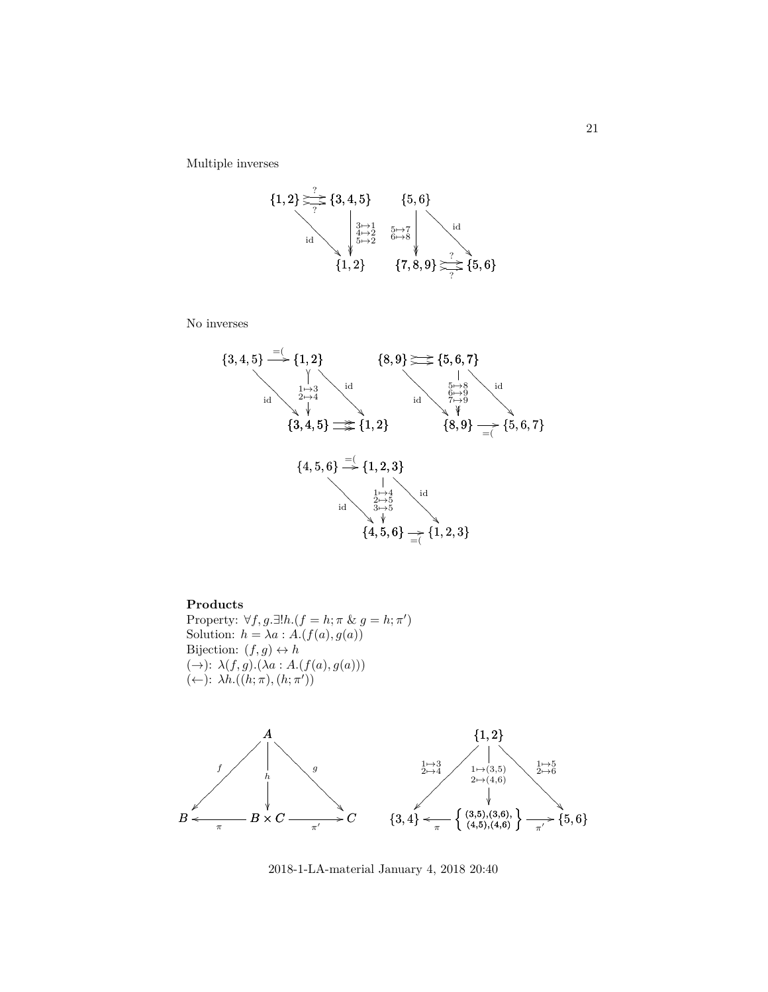Multiple inverses



No inverses



#### **Products**

Property:  $\forall f, g.\exists!h.(f = h; \pi \& g = h; \pi')$ Solution:  $h = \lambda a : A.(f(a), g(a))$ Bijection:  $(f, g) \leftrightarrow h$  $(\rightarrow): \lambda(f,g).(\lambda a:A.(f(a),g(a)))$  $(\leftarrow): \lambda h. ((h; \pi), (h; \pi'))$ 



2018-1-LA-material January 4, 2018 20:40